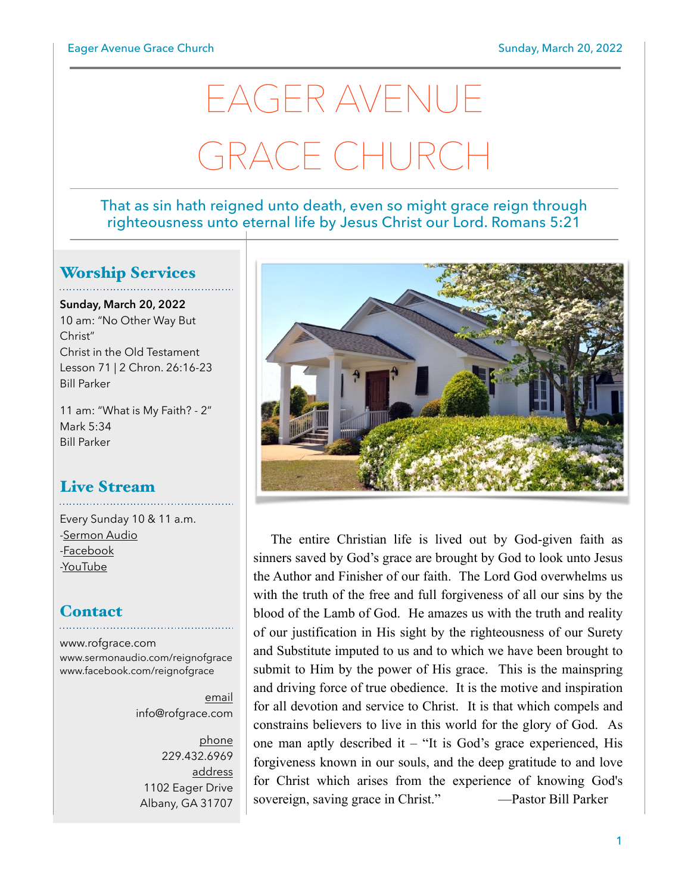# EAGER AVENUE GRACE CHURC

#### That as sin hath reigned unto death, even so might grace reign through righteousness unto eternal life by Jesus Christ our Lord. Romans 5:21

## Worship Services

**Sunday, March 20, 2022** 10 am: "No Other Way But Christ" Christ in the Old Testament Lesson 71 | 2 Chron. 26:16-23 Bill Parker

11 am: "What is My Faith? - 2" Mark 5:34 Bill Parker

## Live Stream

Every Sunday 10 & 11 a.m. [-Sermon Audio](http://sermonaudio.com/reignofgrace) [-Facebook](http://facebook.com/eageravechurch) [-YouTube](http://youtube.com/channel/UCu_lTHCIUOK0cka9AjFV_5Q/live)

## **Contact**

[www.rofgrace.com](http://www.rofgrace.com) [www.sermonaudio.com/reignofgrace](http://www.sermonaudio.com/reignofgrace) [www.facebook.com/reignofgrace](http://www.facebook.com/reignofgrace)

> email [info@rofgrace.com](mailto:info@rofgrace.com?subject=)

phone 229.432.6969 address 1102 Eager Drive Albany, GA 31707



The entire Christian life is lived out by God-given faith as sinners saved by God's grace are brought by God to look unto Jesus the Author and Finisher of our faith. The Lord God overwhelms us with the truth of the free and full forgiveness of all our sins by the blood of the Lamb of God. He amazes us with the truth and reality of our justification in His sight by the righteousness of our Surety and Substitute imputed to us and to which we have been brought to submit to Him by the power of His grace. This is the mainspring and driving force of true obedience. It is the motive and inspiration for all devotion and service to Christ. It is that which compels and constrains believers to live in this world for the glory of God. As one man aptly described it – "It is God's grace experienced, His forgiveness known in our souls, and the deep gratitude to and love for Christ which arises from the experience of knowing God's sovereign, saving grace in Christ." —Pastor Bill Parker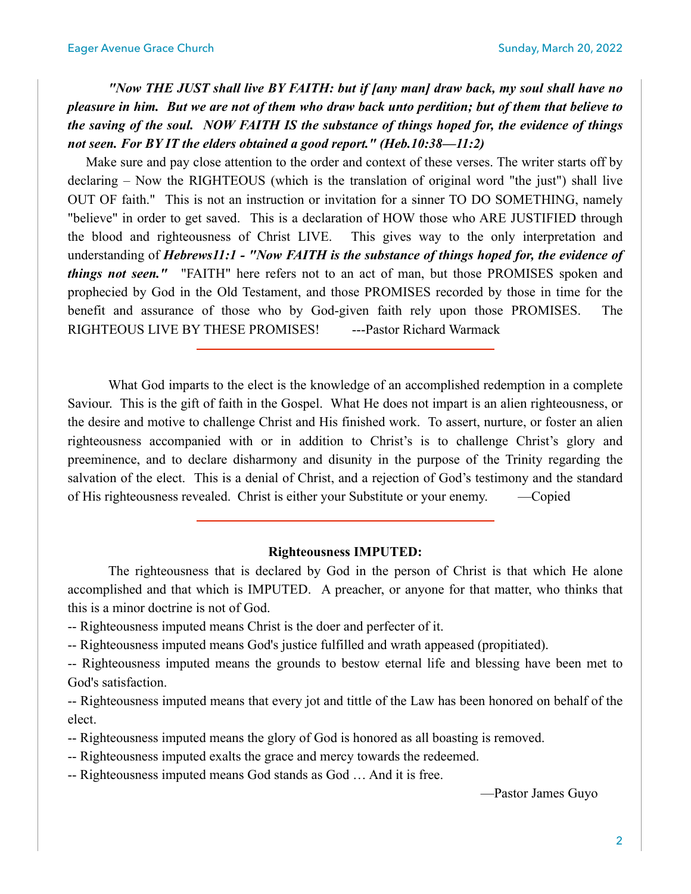*"Now THE JUST shall live BY FAITH: but if [any man] draw back, my soul shall have no pleasure in him. But we are not of them who draw back unto perdition; but of them that believe to the saving of the soul. NOW FAITH IS the substance of things hoped for, the evidence of things not seen. For BY IT the elders obtained a good report." (Heb.10:38—11:2)*

 Make sure and pay close attention to the order and context of these verses. The writer starts off by declaring – Now the RIGHTEOUS (which is the translation of original word "the just") shall live OUT OF faith." This is not an instruction or invitation for a sinner TO DO SOMETHING, namely "believe" in order to get saved. This is a declaration of HOW those who ARE JUSTIFIED through the blood and righteousness of Christ LIVE. This gives way to the only interpretation and understanding of *Hebrews11:1 - "Now FAITH is the substance of things hoped for, the evidence of things not seen."* "FAITH" here refers not to an act of man, but those PROMISES spoken and prophecied by God in the Old Testament, and those PROMISES recorded by those in time for the benefit and assurance of those who by God-given faith rely upon those PROMISES. The RIGHTEOUS LIVE BY THESE PROMISES! --- Pastor Richard Warmack

 What God imparts to the elect is the knowledge of an accomplished redemption in a complete Saviour. This is the gift of faith in the Gospel. What He does not impart is an alien righteousness, or the desire and motive to challenge Christ and His finished work. To assert, nurture, or foster an alien righteousness accompanied with or in addition to Christ's is to challenge Christ's glory and preeminence, and to declare disharmony and disunity in the purpose of the Trinity regarding the salvation of the elect. This is a denial of Christ, and a rejection of God's testimony and the standard of His righteousness revealed. Christ is either your Substitute or your enemy. —Copied

#### **Righteousness IMPUTED:**

 The righteousness that is declared by God in the person of Christ is that which He alone accomplished and that which is IMPUTED. A preacher, or anyone for that matter, who thinks that this is a minor doctrine is not of God.

-- Righteousness imputed means Christ is the doer and perfecter of it.

-- Righteousness imputed means God's justice fulfilled and wrath appeased (propitiated).

-- Righteousness imputed means the grounds to bestow eternal life and blessing have been met to God's satisfaction.

-- Righteousness imputed means that every jot and tittle of the Law has been honored on behalf of the elect.

-- Righteousness imputed means the glory of God is honored as all boasting is removed.

-- Righteousness imputed exalts the grace and mercy towards the redeemed.

-- Righteousness imputed means God stands as God … And it is free.

—Pastor James Guyo